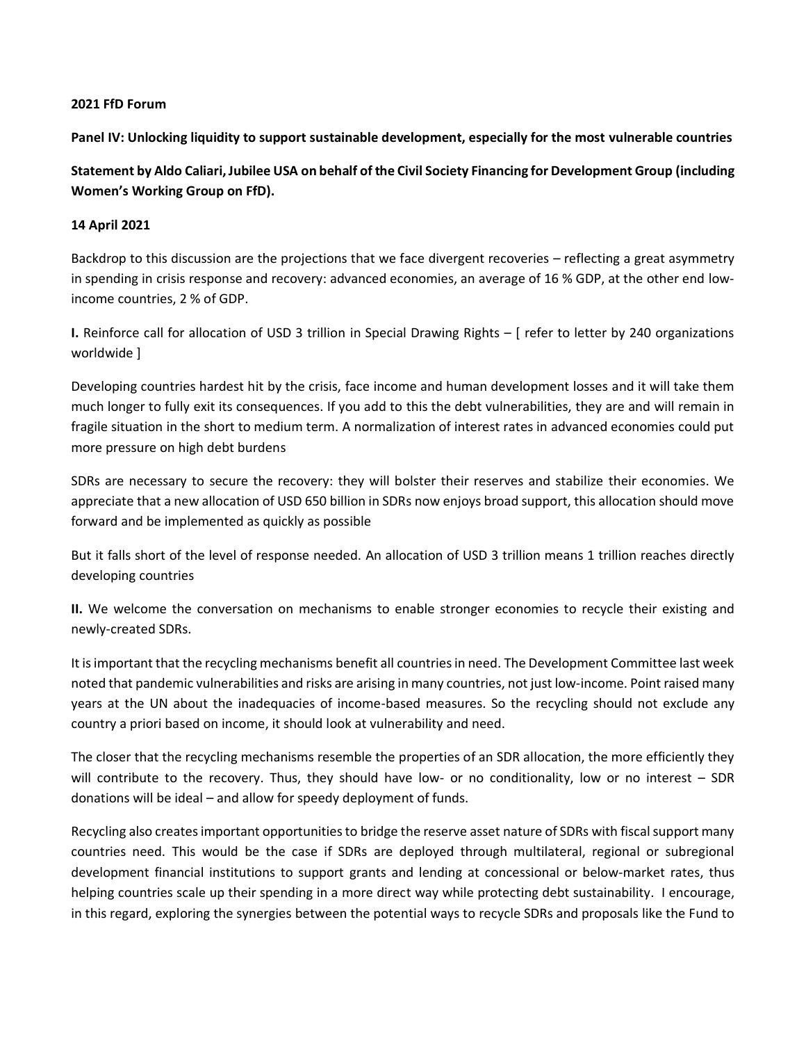## **2021 FfD Forum**

**Panel IV: Unlocking liquidity to support sustainable development, especially for the most vulnerable countries**

**Statement by Aldo Caliari, Jubilee USA on behalf of the Civil Society Financing for Development Group (including Women's Working Group on FfD).** 

## **14 April 2021**

Backdrop to this discussion are the projections that we face divergent recoveries – reflecting a great asymmetry in spending in crisis response and recovery: advanced economies, an average of 16 % GDP, at the other end lowincome countries, 2 % of GDP.

**I.** Reinforce call for allocation of USD 3 trillion in Special Drawing Rights – [ refer to letter by 240 organizations worldwide ]

Developing countries hardest hit by the crisis, face income and human development losses and it will take them much longer to fully exit its consequences. If you add to this the debt vulnerabilities, they are and will remain in fragile situation in the short to medium term. A normalization of interest rates in advanced economies could put more pressure on high debt burdens

SDRs are necessary to secure the recovery: they will bolster their reserves and stabilize their economies. We appreciate that a new allocation of USD 650 billion in SDRs now enjoys broad support, this allocation should move forward and be implemented as quickly as possible

But it falls short of the level of response needed. An allocation of USD 3 trillion means 1 trillion reaches directly developing countries

**II.** We welcome the conversation on mechanisms to enable stronger economies to recycle their existing and newly-created SDRs.

It is important that the recycling mechanisms benefit all countries in need. The Development Committee last week noted that pandemic vulnerabilities and risks are arising in many countries, not just low-income. Point raised many years at the UN about the inadequacies of income-based measures. So the recycling should not exclude any country a priori based on income, it should look at vulnerability and need.

The closer that the recycling mechanisms resemble the properties of an SDR allocation, the more efficiently they will contribute to the recovery. Thus, they should have low- or no conditionality, low or no interest – SDR donations will be ideal – and allow for speedy deployment of funds.

Recycling also creates important opportunities to bridge the reserve asset nature of SDRs with fiscal support many countries need. This would be the case if SDRs are deployed through multilateral, regional or subregional development financial institutions to support grants and lending at concessional or below-market rates, thus helping countries scale up their spending in a more direct way while protecting debt sustainability. I encourage, in this regard, exploring the synergies between the potential ways to recycle SDRs and proposals like the Fund to